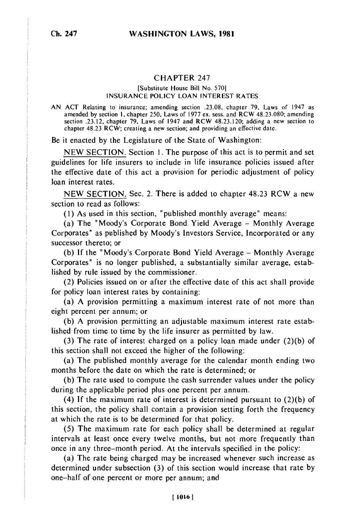## CHAPTER 247

## [Substitute House Bill No. 570] **INSURANCE** POLICY **LOAN INTEREST** RATES

**AN ACT** Relating to insurance; amending section .23.08, chapter 79, Laws of 1947 as amended by section 1, chapter 250, Laws of 1977 ex. sess. and RCW **48.23.080;** amending section .23.12, chapter 79, Laws of 1947 and RCW 48.23.120; adding a new section to chapter 48.23 RCW; creating a new section; and providing an effective date.

Be it enacted by the Legislature of the State of Washington:

**NEW SECTION.** Section **1.** The purpose of this act is to permit and set guidelines for life insurers to include in life insurance policies issued after the effective date of this act a provision for periodic adjustment of policy loan interest rates.

NEW SECTION. Sec. 2. There is added to chapter 48.23 RCW a new section to read as follows:

(1) As used in this section, "published monthly average" means:

(a) The "Moody's Corporate Bond Yield Average - Monthly Average Corporates" as published by Moody's Investors Service, Incorporated or any successor thereto; or

(b) If the "Moody's Corporate Bond Yield Average - Monthly Average Corporates" is no longer published, a substantially similar average, established by rule issued by the commissioner.

(2) Policies issued on or after the effective date of this act shall provide for policy loan interest rates by containing:

(a) A provision permitting a maximum interest rate of not more than eight percent per annum; or

(b) A provision permitting an adjustable maximum interest rate established from time to time by the life insurer as permitted by law.

(3) The rate of interest charged on a policy loan made under (2)(b) of this section shall not exceed the higher of the following:

(a) The published monthly average for the calendar month ending two months before the date on which the rate is determined; or

(b) The rate used to compute the cash surrender values under the policy during the applicable period plus one percent per annum.

(4) If the maximum rate of interest is determined pursuant to (2)(b) of this section, the policy shall contain a provision setting forth the frequency at which the rate is to be determined for that policy.

(5) The maximum rate for each policy shall be determined at regular intervals at least once every twelve months, but not more frequently than once in any three-month period. At the intervals specified in the policy:

(a) The rate being charged may be increased whenever such increase as determined under subsection (3) of this section would increase that rate by one-half of one percent or more per annum; and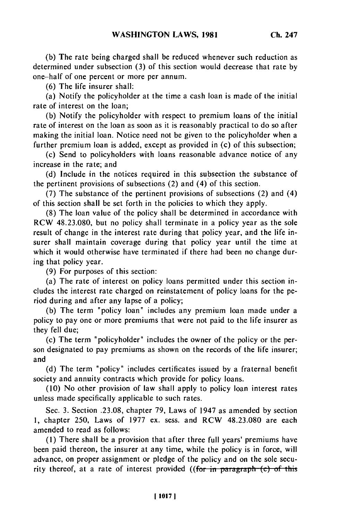**(b)** The rate being charged shall be reduced whenever such reduction as determined under subsection (3) of this section would decrease that rate by one-half of one percent or more per annum.

(6) The life insurer shall:

(a) Notify the policyholder at the time a cash loan is made of the initial rate of interest on the loan;

(b) Notify the policyholder with respect to premium loans of the initial rate of interest on the loan as soon as it is reasonably practical to do so after making the initial loan. Notice need not be given to the policyholder when a further premium loan is added, except as provided in (c) of this subsection;

(c) Send to policyholders with loans reasonable advance notice of any increase in the rate; and

(d) Include in the notices required in this subsection the substance of the pertinent provisions of subsections (2) and (4) of this section.

(7) The substance of the pertinent provisions of subsections (2) and (4) of this section shall be set forth in the policies to which they apply.

(8) The loan value of the policy shall be determined in accordance with RCW 48.23.080, but no policy shall terminate in a policy year as the sole result of change in the interest rate during that policy year, and the life insurer shall maintain coverage during that policy year until the time at which it would otherwise have terminated if there had been no change during that policy year.

(9) For purposes of this section:

(a) The rate of interest on policy loans permitted under this section includes the interest rate charged on reinstatement of policy loans for the period during and after any lapse of a policy;

(b) The term "policy loan" includes any premium loan made under a policy to pay one or more premiums that were not paid to the life insurer as they fell due;

(c) The term "policyholder" includes the owner of the policy or the person designated to pay premiums as shown on the records of the life insurer; and

(d) The term "policy" includes certificates issued by a fraternal benefit society and annuity contracts which provide for policy loans.

(10) No other provision of law shall apply to policy loan interest rates unless made specifically applicable to such rates.

Sec. 3. Section .23.08, chapter 79, Laws of 1947 as amended by section 1, chapter 250, Laws of 1977 ex. sess. and RCW 48.23.080 are each amended to read as follows:

(1) There shall be a provision that after three full years' premiums have been paid thereon, the insurer at any time, while the policy is in force, will advance, on proper assignment or pledge of the policy and on the sole security thereof, at a rate of interest provided ((for in paragraph (c) of this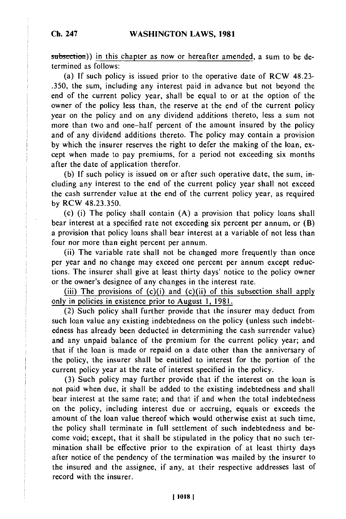subsection)) in this chapter as now or hereafter amended, a sum to be determined as follows:

(a) If such policy is issued prior to the operative date of RCW 48.23- .350, the sum, including any interest paid in advance but not beyond the end of the current policy year, shall be equal to or at the option of the owner of the policy less than, the reserve at the end of the current policy year on the policy and on any dividend additions thereto, less a sum not more than two and one-half percent of the amount insured by the policy and of any dividend additions thereto. The policy may contain a provision by which the insurer reserves the right to defer the making of the loan, except when made to pay premiums, for a period not exceeding six months after the date of application therefor.

(b) If such policy is issued on or after such operative date, the sum, including any interest to the end of the current policy year shall not exceed the cash surrender value at the end of the current policy year, as required by RCW 48.23.350.

(c) (i) The policy shall contain (A) a provision that policy loans shall bear interest at a specified rate not exceeding six percent per annum, or (B) a provision that policy loans shall bear interest at a variable of not less than four nor more than eight percent per annum.

(ii) The variable rate shall not be changed more frequently than once per year and no change may exceed one percent per annum except reductions. The insurer shall give at least thirty days' notice to the policy owner or the owner's designee of any changes in the interest rate.

(iii) The provisions of  $(c)(i)$  and  $(c)(ii)$  of this subsection shall apply only in policies in existence prior to August 1, 1981.

(2) Such policy shall further provide that the insurer may deduct from such loan value any existing indebtedness on the policy (unless such indebtedness has already been deducted in determining the cash surrender value) and any unpaid balance of the premium for the current policy year; and that if the loan is made or repaid on a date other than the anniversary of the policy, the insurer shall be entitled to interest for the portion of the current policy year at the rate of interest specified in the policy.

(3) Such policy may further provide that if the interest on the loan is not paid when due, it shall be added to the existing indebtedness and shall bear interest at the same rate; and that if and when the total indebtedness on the policy, including interest due or accruing, equals or exceeds the amount of the loan value thereof which would otherwise exist at such time, the policy shall terminate in full settlement of such indebtedness and become void; except, that it shall be stipulated in the policy that no such termination shall be effective prior to the expiration of at least thirty days after notice of the pendency of the termination was mailed by the insurer to the insured and the assignee, if any, at their respective addresses last of record with the insurer.